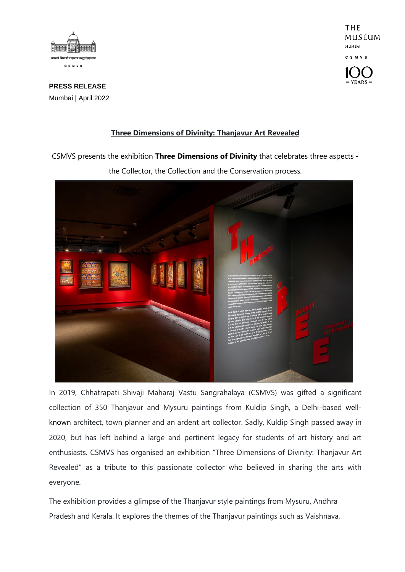

THE MUSEUM MUMBAI **CSMVS** 

**PRESS RELEASE** Mumbai | April 2022

## **Three Dimensions of Divinity: Thanjavur Art Revealed**

CSMVS presents the exhibition **Three Dimensions of Divinity** that celebrates three aspects -



the Collector, the Collection and the Conservation process.

In 2019, Chhatrapati Shivaji Maharaj Vastu Sangrahalaya (CSMVS) was gifted a significant collection of 350 Thanjavur and Mysuru paintings from Kuldip Singh, a Delhi-based wellknown architect, town planner and an ardent art collector. Sadly, Kuldip Singh passed away in 2020, but has left behind a large and pertinent legacy for students of art history and art enthusiasts. CSMVS has organised an exhibition "Three Dimensions of Divinity: Thanjavur Art Revealed" as a tribute to this passionate collector who believed in sharing the arts with everyone.

The exhibition provides a glimpse of the Thanjavur style paintings from Mysuru, Andhra Pradesh and Kerala. It explores the themes of the Thanjavur paintings such as Vaishnava,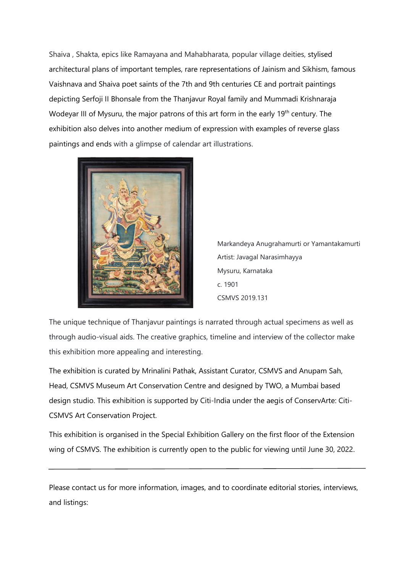Shaiva , Shakta, epics like Ramayana and Mahabharata, popular village deities, stylised architectural plans of important temples, rare representations of Jainism and Sikhism, famous Vaishnava and Shaiva poet saints of the 7th and 9th centuries CE and portrait paintings depicting Serfoji II Bhonsale from the Thanjavur Royal family and Mummadi Krishnaraja Wodeyar III of Mysuru, the major patrons of this art form in the early 19<sup>th</sup> century. The exhibition also delves into another medium of expression with examples of reverse glass paintings and ends with a glimpse of calendar art illustrations.



Markandeya Anugrahamurti or Yamantakamurti Artist: Javagal Narasimhayya Mysuru, Karnataka c. 1901 CSMVS 2019.131

The unique technique of Thanjavur paintings is narrated through actual specimens as well as through audio-visual aids. The creative graphics, timeline and interview of the collector make this exhibition more appealing and interesting.

The exhibition is curated by Mrinalini Pathak, Assistant Curator, CSMVS and Anupam Sah, Head, CSMVS Museum Art Conservation Centre and designed by TWO, a Mumbai based design studio. This exhibition is supported by Citi-India under the aegis of ConservArte: Citi-CSMVS Art Conservation Project.

This exhibition is organised in the Special Exhibition Gallery on the first floor of the Extension wing of CSMVS. The exhibition is currently open to the public for viewing until June 30, 2022.

Please contact us for more information, images, and to coordinate editorial stories, interviews, and listings: